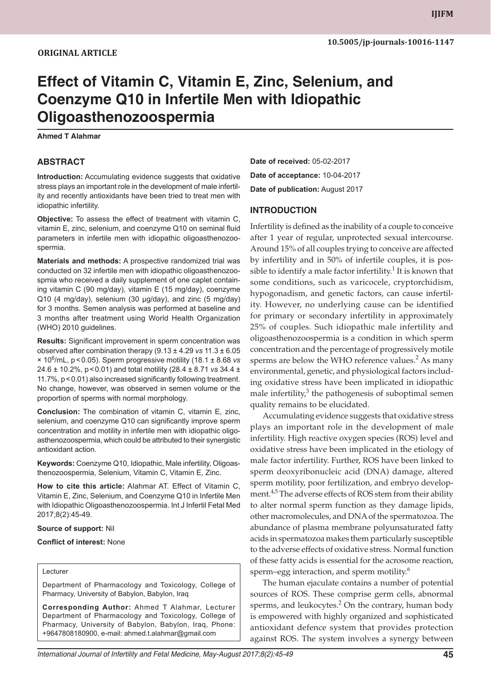# **Effect of Vitamin C, Vitamin E, Zinc, Selenium, and Coenzyme Q10 in Infertile Men with Idiopathic Oligoasthenozoospermia**

**Ahmed T Alahmar**

## **ABSTRACT**

**Introduction:** Accumulating evidence suggests that oxidative stress plays an important role in the development of male infertility and recently antioxidants have been tried to treat men with idiopathic infertility.

**Objective:** To assess the effect of treatment with vitamin C, vitamin E, zinc, selenium, and coenzyme Q10 on seminal fluid parameters in infertile men with idiopathic oligoasthenozoospermia.

**Materials and methods:** A prospective randomized trial was conducted on 32 infertile men with idiopathic oligoasthenozoospmia who received a daily supplement of one caplet containing vitamin C (90 mg/day), vitamin E (15 mg/day), coenzyme Q10 (4 mg/day), selenium (30 µg/day), and zinc (5 mg/day) for 3 months. Semen analysis was performed at baseline and 3 months after treatment using World Health Organization (WHO) 2010 guidelines.

**Results:** Significant improvement in sperm concentration was observed after combination therapy (9.13 ± 4.29 *vs* 11.3 ± 6.05 × 10<sup>6</sup> /mL, p<0.05). Sperm progressive motility (18.1 ± 8.68 *vs* 24.6 ± 10.2%, p<0.01) and total motility (28.4 ± 8.71 *vs* 34.4 ± 11.7%, p<0.01) also increased significantly following treatment. No change, however, was observed in semen volume or the proportion of sperms with normal morphology.

**Conclusion:** The combination of vitamin C, vitamin E, zinc, selenium, and coenzyme Q10 can significantly improve sperm concentration and motility in infertile men with idiopathic oligoasthenozoospermia, which could be attributed to their synergistic antioxidant action.

**Keywords:** Coenzyme Q10, Idiopathic, Male infertility, Oligoasthenozoospermia, Selenium, Vitamin C, Vitamin E, Zinc.

**How to cite this article:** Alahmar AT. Effect of Vitamin C, Vitamin E, Zinc, Selenium, and Coenzyme Q10 in Infertile Men with Idiopathic Oligoasthenozoospermia. Int J Infertil Fetal Med 2017;8(2):45-49.

#### **Source of support:** Nil

**Conflict of interest:** None

#### Lecturer

Department of Pharmacology and Toxicology, College of Pharmacy, University of Babylon, Babylon, Iraq

**Corresponding Author:** Ahmed T Alahmar, Lecturer Department of Pharmacology and Toxicology, College of Pharmacy, University of Babylon, Babylon, Iraq, Phone: +9647808180900, e-mail: ahmed.t.alahmar@gmail.com

**Date of received:** 05-02-2017 **Date of acceptance:** 10-04-2017 **Date of publication:** August 2017

#### **INTRODUCTION**

Infertility is defined as the inability of a couple to conceive after 1 year of regular, unprotected sexual intercourse. Around 15% of all couples trying to conceive are affected by infertility and in 50% of infertile couples, it is possible to identify a male factor infertility. $1$  It is known that some conditions, such as varicocele, cryptorchidism, hypogonadism, and genetic factors, can cause infertility. However, no underlying cause can be identified for primary or secondary infertility in approximately 25% of couples. Such idiopathic male infertility and oligoasthenozoospermia is a condition in which sperm concentration and the percentage of progressively motile sperms are below the WHO reference values.<sup>2</sup> As many environmental, genetic, and physiological factors including oxidative stress have been implicated in idiopathic male infertility,<sup>3</sup> the pathogenesis of suboptimal semen quality remains to be elucidated.

Accumulating evidence suggests that oxidative stress plays an important role in the development of male infertility. High reactive oxygen species (ROS) level and oxidative stress have been implicated in the etiology of male factor infertility. Further, ROS have been linked to sperm deoxyribonucleic acid (DNA) damage, altered sperm motility, poor fertilization, and embryo development.<sup>4,5</sup> The adverse effects of ROS stem from their ability to alter normal sperm function as they damage lipids, other macromolecules, and DNA of the spermatozoa. The abundance of plasma membrane polyunsaturated fatty acids in spermatozoa makes them particularly susceptible to the adverse effects of oxidative stress. Normal function of these fatty acids is essential for the acrosome reaction, sperm–egg interaction, and sperm motility.<sup>6</sup>

The human ejaculate contains a number of potential sources of ROS. These comprise germ cells, abnormal sperms, and leukocytes. $2$  On the contrary, human body is empowered with highly organized and sophisticated antioxidant defence system that provides protection against ROS. The system involves a synergy between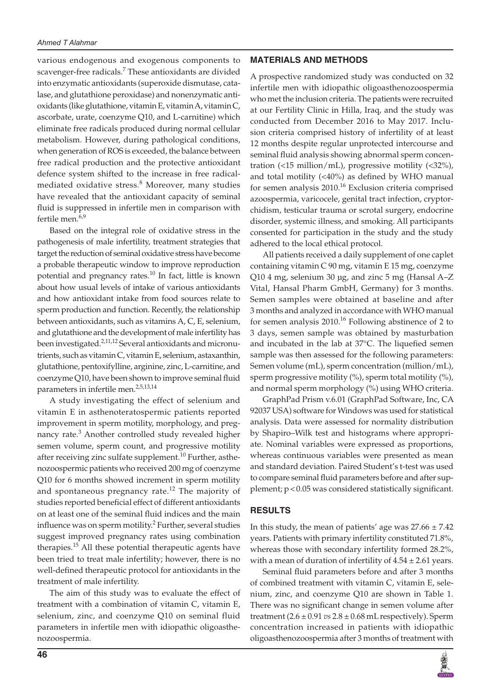various endogenous and exogenous components to scavenger-free radicals.<sup>7</sup> These antioxidants are divided into enzymatic antioxidants (superoxide dismutase, catalase, and glutathione peroxidase) and nonenzymatic antioxidants (like glutathione, vitamin E, vitamin A, vitamin C, ascorbate, urate, coenzyme Q10, and L-carnitine) which eliminate free radicals produced during normal cellular metabolism. However, during pathological conditions, when generation of ROS is exceeded, the balance between free radical production and the protective antioxidant defence system shifted to the increase in free radicalmediated oxidative stress.<sup>8</sup> Moreover, many studies have revealed that the antioxidant capacity of seminal fluid is suppressed in infertile men in comparison with fertile men.<sup>6,9</sup>

Based on the integral role of oxidative stress in the pathogenesis of male infertility, treatment strategies that target the reduction of seminal oxidative stress have become a probable therapeutic window to improve reproduction potential and pregnancy rates.<sup>10</sup> In fact, little is known about how usual levels of intake of various antioxidants and how antioxidant intake from food sources relate to sperm production and function. Recently, the relationship between antioxidants, such as vitamins A, C, E, selenium, and glutathione and the development of male infertility has been investigated.<sup>2,11,12</sup> Several antioxidants and micronutrients, such as vitamin C, vitamin E, selenium, astaxanthin, glutathione, pentoxifylline, arginine, zinc, L-carnitine, and coenzyme Q10, have been shown to improve seminal fluid parameters in infertile men.<sup>2,5,13,14</sup>

A study investigating the effect of selenium and vitamin E in asthenoteratospermic patients reported improvement in sperm motility, morphology, and pregnancy rate.<sup>3</sup> Another controlled study revealed higher semen volume, sperm count, and progressive motility after receiving zinc sulfate supplement.<sup>10</sup> Further, asthenozoospermic patients who received 200 mg of coenzyme Q10 for 6 months showed increment in sperm motility and spontaneous pregnancy rate. $12$  The majority of studies reported beneficial effect of different antioxidants on at least one of the seminal fluid indices and the main influence was on sperm motility.<sup>2</sup> Further, several studies suggest improved pregnancy rates using combination therapies.<sup>15</sup> All these potential therapeutic agents have been tried to treat male infertility; however, there is no well-defined therapeutic protocol for antioxidants in the treatment of male infertility.

The aim of this study was to evaluate the effect of treatment with a combination of vitamin C, vitamin E, selenium, zinc, and coenzyme Q10 on seminal fluid parameters in infertile men with idiopathic oligoasthenozoospermia.

#### **MATERIALS AND METHODS**

A prospective randomized study was conducted on 32 infertile men with idiopathic oligoasthenozoospermia who met the inclusion criteria. The patients were recruited at our Fertility Clinic in Hilla, Iraq, and the study was conducted from December 2016 to May 2017. Inclusion criteria comprised history of infertility of at least 12 months despite regular unprotected intercourse and seminal fluid analysis showing abnormal sperm concentration (<15 million/mL), progressive motility (<32%), and total motility (<40%) as defined by WHO manual for semen analysis 2010.<sup>16</sup> Exclusion criteria comprised azoospermia, varicocele, genital tract infection, cryptorchidism, testicular trauma or scrotal surgery, endocrine disorder, systemic illness, and smoking. All participants consented for participation in the study and the study adhered to the local ethical protocol.

All patients received a daily supplement of one caplet containing vitamin C 90 mg, vitamin E 15 mg, coenzyme Q10 4 mg, selenium 30 µg, and zinc 5 mg (Hansal A–Z Vital, Hansal Pharm GmbH, Germany) for 3 months. Semen samples were obtained at baseline and after 3 months and analyzed in accordance with WHO manual for semen analysis  $2010$ .<sup>16</sup> Following abstinence of 2 to 3 days, semen sample was obtained by masturbation and incubated in the lab at 37°C. The liquefied semen sample was then assessed for the following parameters: Semen volume (mL), sperm concentration (million/mL), sperm progressive motility  $(\%)$ , sperm total motility  $(\%)$ , and normal sperm morphology (%) using WHO criteria.

GraphPad Prism v.6.01 (GraphPad Software, Inc, CA 92037 USA) software for Windows was used for statistical analysis. Data were assessed for normality distribution by Shapiro–Wilk test and histograms where appropriate. Nominal variables were expressed as proportions, whereas continuous variables were presented as mean and standard deviation. Paired Student's t-test was used to compare seminal fluid parameters before and after supplement; p<0.05 was considered statistically significant.

### **RESULTS**

In this study, the mean of patients' age was  $27.66 \pm 7.42$ years. Patients with primary infertility constituted 71.8%, whereas those with secondary infertility formed 28.2%, with a mean of duration of infertility of  $4.54 \pm 2.61$  years.

Seminal fluid parameters before and after 3 months of combined treatment with vitamin C, vitamin E, selenium, zinc, and coenzyme Q10 are shown in Table 1. There was no significant change in semen volume after treatment  $(2.6 \pm 0.91 \text{ vs } 2.8 \pm 0.68 \text{ mL respectively})$ . Sperm concentration increased in patients with idiopathic oligoasthenozoospermia after 3 months of treatment with

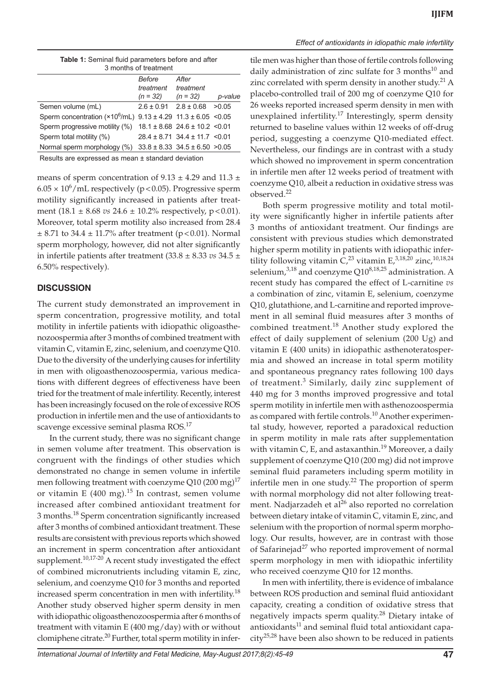| <b>Table 1:</b> Seminal fluid parameters before and after<br>3 months of treatment |        |       |  |  |
|------------------------------------------------------------------------------------|--------|-------|--|--|
|                                                                                    |        |       |  |  |
|                                                                                    | Before | After |  |  |

|                                                                          | -----<br>treatment            | treatment                              |         |
|--------------------------------------------------------------------------|-------------------------------|----------------------------------------|---------|
|                                                                          | $(n = 32)$                    | $(n = 32)$                             | p-value |
| Semen volume (mL)                                                        | $2.6 \pm 0.91$ $2.8 \pm 0.68$ |                                        | >0.05   |
| Sperm concentration ( $×10^6$ /mL) $9.13 \pm 4.29$ 11.3 $\pm 6.05$ <0.05 |                               |                                        |         |
| Sperm progressive motility (%) $18.1 \pm 8.68$ 24.6 $\pm 10.2$ < 0.01    |                               |                                        |         |
| Sperm total motility (%)                                                 |                               | $28.4 \pm 8.71$ 34.4 $\pm$ 11.7 < 0.01 |         |
| Normal sperm morphology (%)                                              |                               | $33.8 \pm 8.33$ $34.5 \pm 6.50$ >0.05  |         |
|                                                                          |                               |                                        |         |

Results are expressed as mean ± standard deviation

means of sperm concentration of  $9.13 \pm 4.29$  and  $11.3 \pm 1.1$  $6.05 \times 10^6$ /mL respectively (p<0.05). Progressive sperm motility significantly increased in patients after treatment  $(18.1 \pm 8.68 \text{ vs } 24.6 \pm 10.2\%$  respectively, p<0.01). Moreover, total sperm motility also increased from 28.4  $\pm$  8.71 to 34.4  $\pm$  11.7% after treatment (p < 0.01). Normal sperm morphology, however, did not alter significantly in infertile patients after treatment (33.8 ± 8.33 *vs* 34.5 ± 6.50% respectively).

#### **DISCUSSION**

The current study demonstrated an improvement in sperm concentration, progressive motility, and total motility in infertile patients with idiopathic oligoasthenozoospermia after 3 months of combined treatment with vitamin C, vitamin E, zinc, selenium, and coenzyme Q10. Due to the diversity of the underlying causes for infertility in men with oligoasthenozoospermia, various medications with different degrees of effectiveness have been tried for the treatment of male infertility. Recently, interest has been increasingly focused on the role of excessive ROS production in infertile men and the use of antioxidants to scavenge excessive seminal plasma ROS.17

In the current study, there was no significant change in semen volume after treatment. This observation is congruent with the findings of other studies which demonstrated no change in semen volume in infertile men following treatment with coenzyme Q10 (200 mg)<sup>17</sup> or vitamin E  $(400 \text{ mg})$ .<sup>15</sup> In contrast, semen volume increased after combined antioxidant treatment for 3 months.18 Sperm concentration significantly increased after 3 months of combined antioxidant treatment. These results are consistent with previous reports which showed an increment in sperm concentration after antioxidant supplement.<sup>10,17-20</sup> A recent study investigated the effect of combined micronutrients including vitamin E, zinc, selenium, and coenzyme Q10 for 3 months and reported increased sperm concentration in men with infertility.<sup>18</sup> Another study observed higher sperm density in men with idiopathic oligoasthenozoospermia after 6 months of treatment with vitamin E (400 mg/day) with or without clomiphene citrate.<sup>20</sup> Further, total sperm motility in infer*Effect of antioxidants in idiopathic male infertility*

tile men was higher than those of fertile controls following daily administration of zinc sulfate for  $3$  months<sup>10</sup> and zinc correlated with sperm density in another study.<sup>21</sup> A placebo-controlled trail of 200 mg of coenzyme Q10 for 26 weeks reported increased sperm density in men with unexplained infertility.<sup>17</sup> Interestingly, sperm density returned to baseline values within 12 weeks of off-drug period, suggesting a coenzyme Q10-mediated effect. Nevertheless, our findings are in contrast with a study which showed no improvement in sperm concentration in infertile men after 12 weeks period of treatment with coenzyme Q10, albeit a reduction in oxidative stress was observed.<sup>22</sup>

Both sperm progressive motility and total motility were significantly higher in infertile patients after 3 months of antioxidant treatment. Our findings are consistent with previous studies which demonstrated higher sperm motility in patients with idiopathic infertility following vitamin  $C<sub>1</sub><sup>23</sup>$  vitamin E<sub>1</sub>,<sup>3,18,20</sup> zinc,<sup>10,18,24</sup> selenium, $3,18$  and coenzyme Q10 $8,18,25$  administration. A recent study has compared the effect of L-carnitine *vs* a combination of zinc, vitamin E, selenium, coenzyme Q10, glutathione, and L-carnitine and reported improvement in all seminal fluid measures after 3 months of combined treatment.<sup>18</sup> Another study explored the effect of daily supplement of selenium (200 Ug) and vitamin E (400 units) in idiopathic asthenoteratospermia and showed an increase in total sperm motility and spontaneous pregnancy rates following 100 days of treatment.<sup>3</sup> Similarly, daily zinc supplement of 440 mg for 3 months improved progressive and total sperm motility in infertile men with asthenozoospermia as compared with fertile controls.<sup>10</sup> Another experimental study, however, reported a paradoxical reduction in sperm motility in male rats after supplementation with vitamin C, E, and astaxanthin.<sup>19</sup> Moreover, a daily supplement of coenzyme Q10 (200 mg) did not improve seminal fluid parameters including sperm motility in infertile men in one study. $22$  The proportion of sperm with normal morphology did not alter following treatment. Nadjarzadeh et al<sup>26</sup> also reported no correlation between dietary intake of vitamin C, vitamin E, zinc, and selenium with the proportion of normal sperm morphology. Our results, however, are in contrast with those of Safarinejad<sup>27</sup> who reported improvement of normal sperm morphology in men with idiopathic infertility who received coenzyme Q10 for 12 months.

In men with infertility, there is evidence of imbalance between ROS production and seminal fluid antioxidant capacity, creating a condition of oxidative stress that negatively impacts sperm quality.<sup>28</sup> Dietary intake of antioxidants $11$  and seminal fluid total antioxidant capa- $\text{city}^{25,28}$  have been also shown to be reduced in patients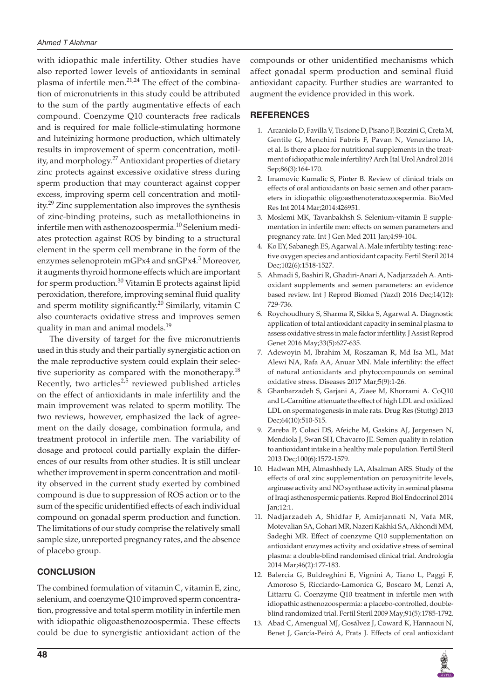with idiopathic male infertility. Other studies have also reported lower levels of antioxidants in seminal plasma of infertile men.<sup>21,24</sup> The effect of the combination of micronutrients in this study could be attributed to the sum of the partly augmentative effects of each compound. Coenzyme Q10 counteracts free radicals and is required for male follicle-stimulating hormone and luteinizing hormone production, which ultimately results in improvement of sperm concentration, motility, and morphology.<sup>27</sup> Antioxidant properties of dietary zinc protects against excessive oxidative stress during sperm production that may counteract against copper excess, improving sperm cell concentration and motility.29 Zinc supplementation also improves the synthesis of zinc-binding proteins, such as metallothioneins in infertile men with asthenozoospermia.<sup>10</sup> Selenium mediates protection against ROS by binding to a structural element in the sperm cell membrane in the form of the enzymes selenoprotein mGPx4 and snGPx4.<sup>3</sup> Moreover, it augments thyroid hormone effects which are important for sperm production.<sup>30</sup> Vitamin E protects against lipid peroxidation, therefore, improving seminal fluid quality and sperm motility significantly.<sup>20</sup> Similarly, vitamin C also counteracts oxidative stress and improves semen quality in man and animal models.<sup>19</sup>

The diversity of target for the five micronutrients used in this study and their partially synergistic action on the male reproductive system could explain their selective superiority as compared with the monotherapy.<sup>18</sup> Recently, two articles<sup>2,5</sup> reviewed published articles on the effect of antioxidants in male infertility and the main improvement was related to sperm motility. The two reviews, however, emphasized the lack of agreement on the daily dosage, combination formula, and treatment protocol in infertile men. The variability of dosage and protocol could partially explain the differences of our results from other studies. It is still unclear whether improvement in sperm concentration and motility observed in the current study exerted by combined compound is due to suppression of ROS action or to the sum of the specific unidentified effects of each individual compound on gonadal sperm production and function. The limitations of our study comprise the relatively small sample size, unreported pregnancy rates, and the absence of placebo group.

# **CONCLUSION**

The combined formulation of vitamin C, vitamin E, zinc, selenium, and coenzyme Q10 improved sperm concentration, progressive and total sperm motility in infertile men with idiopathic oligoasthenozoospermia. These effects could be due to synergistic antioxidant action of the

compounds or other unidentified mechanisms which affect gonadal sperm production and seminal fluid antioxidant capacity. Further studies are warranted to augment the evidence provided in this work.

# **REFERENCES**

- 1. Arcaniolo D, Favilla V, Tiscione D, Pisano F, Bozzini G, Creta M, Gentile G, Menchini Fabris F, Pavan N, Veneziano IA, et al. Is there a place for nutritional supplements in the treatment of idiopathic male infertility? Arch Ital Urol Androl 2014 Sep;86(3):164-170.
- 2. Imamovic Kumalic S, Pinter B. Review of clinical trials on effects of oral antioxidants on basic semen and other parameters in idiopathic oligoasthenoteratozoospermia. BioMed Res Int 2014 Mar;2014:426951.
- 3. Moslemi MK, Tavanbakhsh S. Selenium-vitamin E supplementation in infertile men: effects on semen parameters and pregnancy rate. Int J Gen Med 2011 Jan;4:99-104.
- Ko EY, Sabanegh ES, Agarwal A. Male infertility testing: reactive oxygen species and antioxidant capacity. Fertil Steril 2014 Dec;102(6):1518-1527.
- 5. Ahmadi S, Bashiri R, Ghadiri-Anari A, Nadjarzadeh A. Antioxidant supplements and semen parameters: an evidence based review. Int J Reprod Biomed (Yazd) 2016 Dec;14(12): 729-736.
- 6. Roychoudhury S, Sharma R, Sikka S, Agarwal A. Diagnostic application of total antioxidant capacity in seminal plasma to assess oxidative stress in male factor infertility. J Assist Reprod Genet 2016 May;33(5):627-635.
- 7. Adewoyin M, Ibrahim M, Roszaman R, Md Isa ML, Mat Alewi NA, Rafa AA, Anuar MN. Male infertility: the effect of natural antioxidants and phytocompounds on seminal oxidative stress. Diseases 2017 Mar;5(9):1-26.
- 8. Ghanbarzadeh S, Garjani A, Ziaee M, Khorrami A. CoQ10 and L-Carnitine attenuate the effect of high LDL and oxidized LDL on spermatogenesis in male rats. Drug Res (Stuttg) 2013 Dec;64(10):510-515.
- 9. Zareba P, Colaci DS, Afeiche M, Gaskins AJ, Jørgensen N, Mendiola J, Swan SH, Chavarro JE. Semen quality in relation to antioxidant intake in a healthy male population. Fertil Steril 2013 Dec;100(6):1572-1579.
- 10. Hadwan MH, Almashhedy LA, Alsalman ARS. Study of the effects of oral zinc supplementation on peroxynitrite levels, arginase activity and NO synthase activity in seminal plasma of Iraqi asthenospermic patients. Reprod Biol Endocrinol 2014 Jan;12:1.
- 11. Nadjarzadeh A, Shidfar F, Amirjannati N, Vafa MR, Motevalian SA, Gohari MR, Nazeri Kakhki SA, Akhondi MM, Sadeghi MR. Effect of coenzyme Q10 supplementation on antioxidant enzymes activity and oxidative stress of seminal plasma: a double-blind randomised clinical trial. Andrologia 2014 Mar;46(2):177-183.
- 12. Balercia G, Buldreghini E, Vignini A, Tiano L, Paggi F, Amoroso S, Ricciardo-Lamonica G, Boscaro M, Lenzi A, Littarru G. Coenzyme Q10 treatment in infertile men with idiopathic asthenozoospermia: a placebo-controlled, doubleblind randomized trial. Fertil Steril 2009 May;91(5):1785-1792.
- 13. Abad C, Amengual MJ, Gosálvez J, Coward K, Hannaoui N, Benet J, García-Peiró A, Prats J. Effects of oral antioxidant